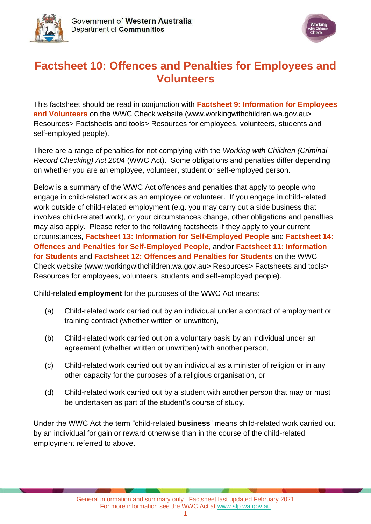



# **Factsheet 10: Offences and Penalties for Employees and Volunteers**

This factsheet should be read in conjunction with **[Factsheet 9: Information for Employees](https://workingwithchildren.wa.gov.au/docs/default-source/default-document-library/factsheet-9-information-for-employees-and-volunteer-2015.pdf)  [and Volunteers](https://workingwithchildren.wa.gov.au/docs/default-source/default-document-library/factsheet-9-information-for-employees-and-volunteer-2015.pdf)** on the WWC Check website [\(www.workingwithchildren.wa.gov.au>](http://www.workingwithchildren.wa.gov.au/) Resources> Factsheets and tools> Resources for employees, volunteers, students and self-employed people).

There are a range of penalties for not complying with the *Working with Children (Criminal Record Checking) Act 2004* (WWC Act). Some obligations and penalties differ depending on whether you are an employee, volunteer, student or self-employed person.

Below is a summary of the WWC Act offences and penalties that apply to people who engage in child-related work as an employee or volunteer. If you engage in child-related work outside of child-related employment (e.g. you may carry out a side business that involves child-related work), or your circumstances change, other obligations and penalties may also apply. Please refer to the following factsheets if they apply to your current circumstances, **[Factsheet 13: Information for Self-Employed People](https://workingwithchildren.wa.gov.au/docs/default-source/default-document-library/factsheet-13-information-for-self-employed-people-2015.pdf)** and **[Factsheet 14:](https://workingwithchildren.wa.gov.au/docs/default-source/default-document-library/factsheet-14-offences-and-penalties-for-self-employed-people-2015.pdf)  [Offences and Penalties for Self-Employed People,](https://workingwithchildren.wa.gov.au/docs/default-source/default-document-library/factsheet-14-offences-and-penalties-for-self-employed-people-2015.pdf)** and/or **[Factsheet 11: Information](https://workingwithchildren.wa.gov.au/docs/default-source/default-document-library/factsheet-11-information-for-students-2015.pdf)  [for Students](https://workingwithchildren.wa.gov.au/docs/default-source/default-document-library/factsheet-11-information-for-students-2015.pdf)** and **[Factsheet 12: Offences and Penalties for Students](https://workingwithchildren.wa.gov.au/docs/default-source/default-document-library/factsheet-12-offences-and-penalties-for-students-2015.pdf)** on the WWC Check website [\(www.workingwithchildren.wa.gov.au>](http://www.workingwithchildren.wa.gov.au/) Resources> Factsheets and tools> Resources for employees, volunteers, students and self-employed people).

Child-related **employment** for the purposes of the WWC Act means:

- (a) Child-related work carried out by an individual under a contract of employment or training contract (whether written or unwritten),
- (b) Child-related work carried out on a voluntary basis by an individual under an agreement (whether written or unwritten) with another person,
- (c) Child-related work carried out by an individual as a minister of religion or in any other capacity for the purposes of a religious organisation, or
- (d) Child-related work carried out by a student with another person that may or must be undertaken as part of the student's course of study.

Under the WWC Act the term "child-related **business**" means child-related work carried out by an individual for gain or reward otherwise than in the course of the child-related employment referred to above.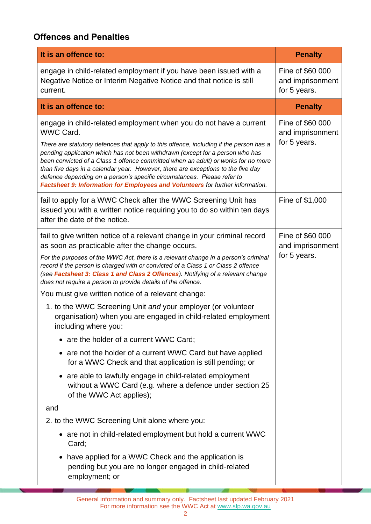## **Offences and Penalties**

| It is an offence to:                                                                                                                                                                                                                                                                                                                                                                                                                                                                                                                                                                                                                                                                                                                                                                                                                                                                                                                                                                               | <b>Penalty</b>                                       |
|----------------------------------------------------------------------------------------------------------------------------------------------------------------------------------------------------------------------------------------------------------------------------------------------------------------------------------------------------------------------------------------------------------------------------------------------------------------------------------------------------------------------------------------------------------------------------------------------------------------------------------------------------------------------------------------------------------------------------------------------------------------------------------------------------------------------------------------------------------------------------------------------------------------------------------------------------------------------------------------------------|------------------------------------------------------|
| engage in child-related employment if you have been issued with a<br>Negative Notice or Interim Negative Notice and that notice is still<br>current.                                                                                                                                                                                                                                                                                                                                                                                                                                                                                                                                                                                                                                                                                                                                                                                                                                               | Fine of \$60 000<br>and imprisonment<br>for 5 years. |
| It is an offence to:                                                                                                                                                                                                                                                                                                                                                                                                                                                                                                                                                                                                                                                                                                                                                                                                                                                                                                                                                                               | <b>Penalty</b>                                       |
| engage in child-related employment when you do not have a current<br><b>WWC Card.</b><br>There are statutory defences that apply to this offence, including if the person has a<br>pending application which has not been withdrawn (except for a person who has<br>been convicted of a Class 1 offence committed when an adult) or works for no more<br>than five days in a calendar year. However, there are exceptions to the five day<br>defence depending on a person's specific circumstances. Please refer to<br>Factsheet 9: Information for Employees and Volunteers for further information.                                                                                                                                                                                                                                                                                                                                                                                             | Fine of \$60 000<br>and imprisonment<br>for 5 years. |
| fail to apply for a WWC Check after the WWC Screening Unit has<br>issued you with a written notice requiring you to do so within ten days<br>after the date of the notice.                                                                                                                                                                                                                                                                                                                                                                                                                                                                                                                                                                                                                                                                                                                                                                                                                         | Fine of \$1,000                                      |
| fail to give written notice of a relevant change in your criminal record<br>as soon as practicable after the change occurs.<br>For the purposes of the WWC Act, there is a relevant change in a person's criminal<br>record if the person is charged with or convicted of a Class 1 or Class 2 offence<br>(see Factsheet 3: Class 1 and Class 2 Offences). Notifying of a relevant change<br>does not require a person to provide details of the offence.<br>You must give written notice of a relevant change:<br>1. to the WWC Screening Unit and your employer (or volunteer<br>organisation) when you are engaged in child-related employment<br>including where you:<br>• are the holder of a current WWC Card;<br>are not the holder of a current WWC Card but have applied<br>for a WWC Check and that application is still pending; or<br>are able to lawfully engage in child-related employment<br>without a WWC Card (e.g. where a defence under section 25<br>of the WWC Act applies); | Fine of \$60 000<br>and imprisonment<br>for 5 years. |
| and                                                                                                                                                                                                                                                                                                                                                                                                                                                                                                                                                                                                                                                                                                                                                                                                                                                                                                                                                                                                |                                                      |
| 2. to the WWC Screening Unit alone where you:                                                                                                                                                                                                                                                                                                                                                                                                                                                                                                                                                                                                                                                                                                                                                                                                                                                                                                                                                      |                                                      |
| • are not in child-related employment but hold a current WWC<br>Card;                                                                                                                                                                                                                                                                                                                                                                                                                                                                                                                                                                                                                                                                                                                                                                                                                                                                                                                              |                                                      |
| have applied for a WWC Check and the application is<br>pending but you are no longer engaged in child-related<br>employment; or                                                                                                                                                                                                                                                                                                                                                                                                                                                                                                                                                                                                                                                                                                                                                                                                                                                                    |                                                      |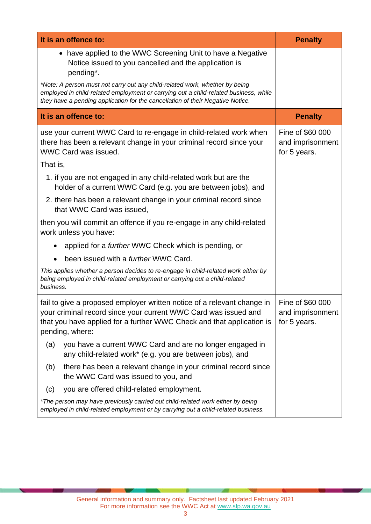| It is an offence to:                                                                                                                                                                                                                                  | <b>Penalty</b>                                       |
|-------------------------------------------------------------------------------------------------------------------------------------------------------------------------------------------------------------------------------------------------------|------------------------------------------------------|
| • have applied to the WWC Screening Unit to have a Negative<br>Notice issued to you cancelled and the application is<br>pending*.                                                                                                                     |                                                      |
| *Note: A person must not carry out any child-related work, whether by being<br>employed in child-related employment or carrying out a child-related business, while<br>they have a pending application for the cancellation of their Negative Notice. |                                                      |
| It is an offence to:                                                                                                                                                                                                                                  | <b>Penalty</b>                                       |
| use your current WWC Card to re-engage in child-related work when<br>there has been a relevant change in your criminal record since your<br>WWC Card was issued.                                                                                      | Fine of \$60 000<br>and imprisonment<br>for 5 years. |
| That is,                                                                                                                                                                                                                                              |                                                      |
| 1. if you are not engaged in any child-related work but are the<br>holder of a current WWC Card (e.g. you are between jobs), and                                                                                                                      |                                                      |
| 2. there has been a relevant change in your criminal record since<br>that WWC Card was issued,                                                                                                                                                        |                                                      |
| then you will commit an offence if you re-engage in any child-related<br>work unless you have:                                                                                                                                                        |                                                      |
| applied for a <i>further</i> WWC Check which is pending, or                                                                                                                                                                                           |                                                      |
| been issued with a <i>further</i> WWC Card.                                                                                                                                                                                                           |                                                      |
| This applies whether a person decides to re-engage in child-related work either by<br>being employed in child-related employment or carrying out a child-related<br>business.                                                                         |                                                      |
| fail to give a proposed employer written notice of a relevant change in<br>your criminal record since your current WWC Card was issued and<br>that you have applied for a further WWC Check and that application is<br>pending, where:                | Fine of \$60 000<br>and imprisonment<br>for 5 years. |
| you have a current WWC Card and are no longer engaged in<br>(a)<br>any child-related work* (e.g. you are between jobs), and                                                                                                                           |                                                      |
| there has been a relevant change in your criminal record since<br>(b)<br>the WWC Card was issued to you, and                                                                                                                                          |                                                      |
| you are offered child-related employment.<br>(c)                                                                                                                                                                                                      |                                                      |
| *The person may have previously carried out child-related work either by being<br>employed in child-related employment or by carrying out a child-related business.                                                                                   |                                                      |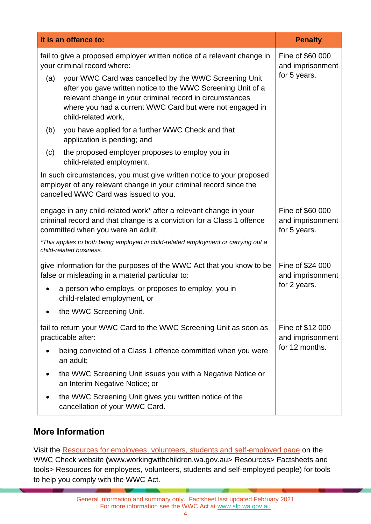|     | It is an offence to:                                                                                                                                                                                                                                                  | <b>Penalty</b>                                       |
|-----|-----------------------------------------------------------------------------------------------------------------------------------------------------------------------------------------------------------------------------------------------------------------------|------------------------------------------------------|
|     | fail to give a proposed employer written notice of a relevant change in<br>your criminal record where:                                                                                                                                                                | Fine of \$60 000<br>and imprisonment                 |
| (a) | your WWC Card was cancelled by the WWC Screening Unit<br>after you gave written notice to the WWC Screening Unit of a<br>relevant change in your criminal record in circumstances<br>where you had a current WWC Card but were not engaged in<br>child-related work,  | for 5 years.                                         |
| (b) | you have applied for a further WWC Check and that<br>application is pending; and                                                                                                                                                                                      |                                                      |
| (c) | the proposed employer proposes to employ you in<br>child-related employment.                                                                                                                                                                                          |                                                      |
|     | In such circumstances, you must give written notice to your proposed<br>employer of any relevant change in your criminal record since the<br>cancelled WWC Card was issued to you.                                                                                    |                                                      |
|     | engage in any child-related work* after a relevant change in your<br>criminal record and that change is a conviction for a Class 1 offence<br>committed when you were an adult.<br>*This applies to both being employed in child-related employment or carrying out a | Fine of \$60 000<br>and imprisonment<br>for 5 years. |
|     | child-related business.                                                                                                                                                                                                                                               |                                                      |
|     | give information for the purposes of the WWC Act that you know to be<br>false or misleading in a material particular to:                                                                                                                                              | Fine of \$24 000<br>and imprisonment<br>for 2 years. |
|     | a person who employs, or proposes to employ, you in<br>child-related employment, or                                                                                                                                                                                   |                                                      |
|     | the WWC Screening Unit.                                                                                                                                                                                                                                               |                                                      |
|     | fail to return your WWC Card to the WWC Screening Unit as soon as<br>practicable after:                                                                                                                                                                               | Fine of \$12 000<br>and imprisonment                 |
|     | being convicted of a Class 1 offence committed when you were<br>an adult;                                                                                                                                                                                             | for 12 months.                                       |
|     | the WWC Screening Unit issues you with a Negative Notice or<br>an Interim Negative Notice; or                                                                                                                                                                         |                                                      |
|     | the WWC Screening Unit gives you written notice of the<br>cancellation of your WWC Card.                                                                                                                                                                              |                                                      |

## **More Information**

Visit the [Resources for employees, volunteers, students and self-employed page](https://workingwithchildren.wa.gov.au/resources/publications/fact-sheets-booklets/resources-for-employers-and-organisations) on the WWC Check website **(**[www.workingwithchildren.wa.gov.au>](http://www.workingwithchildren.wa.gov.au/) Resources> Factsheets and tools> Resources for employees, volunteers, students and self-employed people) for tools to help you comply with the WWC Act.